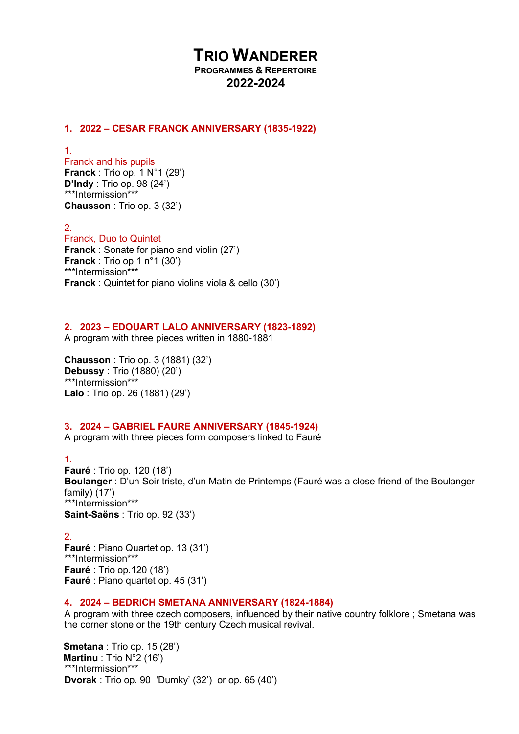# TRIO WANDERER

PROGRAMMES & REPERTOIRE 2022-2024

#### 1. 2022 – CESAR FRANCK ANNIVERSARY (1835-1922)

1.

Franck and his pupils Franck : Trio op. 1 N°1 (29') D'Indy : Trio op. 98 (24') \*\*\*Intermission\*\*\* Chausson : Trio op. 3 (32')

2.

# Franck, Duo to Quintet Franck : Sonate for piano and violin (27')

Franck : Trio op.1 n°1 (30') \*\*\*Intermission\*\*\* Franck : Quintet for piano violins viola & cello (30')

#### 2. 2023 – EDOUART LALO ANNIVERSARY (1823-1892)

A program with three pieces written in 1880-1881

Chausson : Trio op. 3 (1881) (32') Debussy : Trio (1880) (20') \*\*\*Intermission\*\*\* Lalo : Trio op. 26 (1881) (29')

### 3. 2024 – GABRIEL FAURE ANNIVERSARY (1845-1924)

A program with three pieces form composers linked to Fauré

1.

Fauré : Trio op. 120 (18') Boulanger : D'un Soir triste, d'un Matin de Printemps (Fauré was a close friend of the Boulanger family) (17') \*\*\*Intermission\*\*\* Saint-Saëns : Trio op. 92 (33')

2. Fauré : Piano Quartet op. 13 (31') \*\*\*Intermission\*\*\* Fauré : Trio op.120 (18') Fauré : Piano quartet op. 45 (31')

### 4. 2024 – BEDRICH SMETANA ANNIVERSARY (1824-1884)

A program with three czech composers, influenced by their native country folklore ; Smetana was the corner stone or the 19th century Czech musical revival.

 Smetana : Trio op. 15 (28') Martinu : Trio N°2 (16') \*\*\*Intermission\*\*\* Dvorak : Trio op. 90 'Dumky' (32') or op. 65 (40')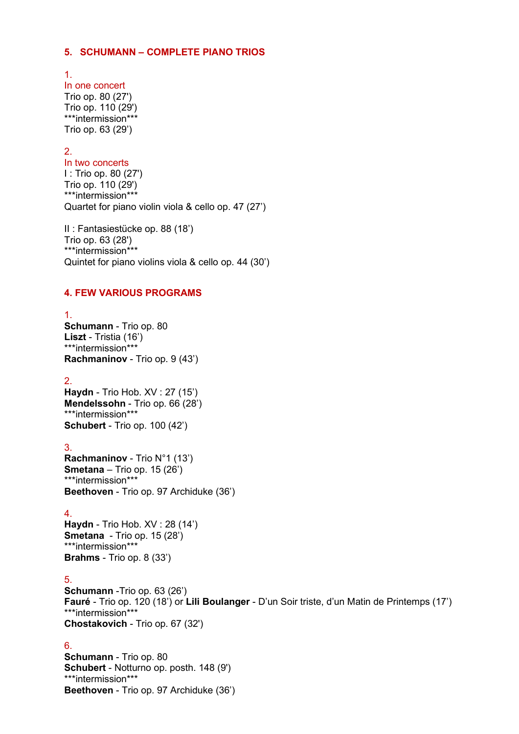#### 5. SCHUMANN – COMPLETE PIANO TRIOS

1.

In one concert Trio op. 80 (27') Trio op. 110 (29') \*\*\*intermission\*\*\* Trio op. 63 (29')

# 2.

In two concerts I : Trio op. 80 (27') Trio op. 110 (29') \*\*\*intermission\*\*\* Quartet for piano violin viola & cello op. 47 (27')

II : Fantasiestücke op. 88 (18') Trio op. 63 (28') \*\*\*intermission\*\*\* Quintet for piano violins viola & cello op. 44 (30')

### 4. FEW VARIOUS PROGRAMS

1. Schumann - Trio op. 80 Liszt - Tristia (16') \*\*\*intermission\*\*\* Rachmaninov - Trio op. 9 (43')

2. Haydn - Trio Hob. XV : 27 (15') Mendelssohn - Trio op. 66 (28') \*\*\*intermission\*\*\* Schubert - Trio op. 100 (42')

3. Rachmaninov - Trio N°1 (13') **Smetana** – Trio op.  $15(26)$ \*\*\*intermission\*\*\* Beethoven - Trio op. 97 Archiduke (36')

#### 4.

Haydn - Trio Hob. XV : 28 (14') Smetana - Trio op. 15 (28') \*\*\*intermission\*\*\* Brahms - Trio op. 8 (33')

### 5.

Schumann -Trio op. 63 (26') Fauré - Trio op. 120 (18') or Lili Boulanger - D'un Soir triste, d'un Matin de Printemps (17') \*\*\*intermission\*\*\* Chostakovich - Trio op. 67 (32')

6.

Schumann - Trio op. 80 Schubert - Notturno op. posth. 148 (9') \*\*\*intermission\*\*\* Beethoven - Trio op. 97 Archiduke (36')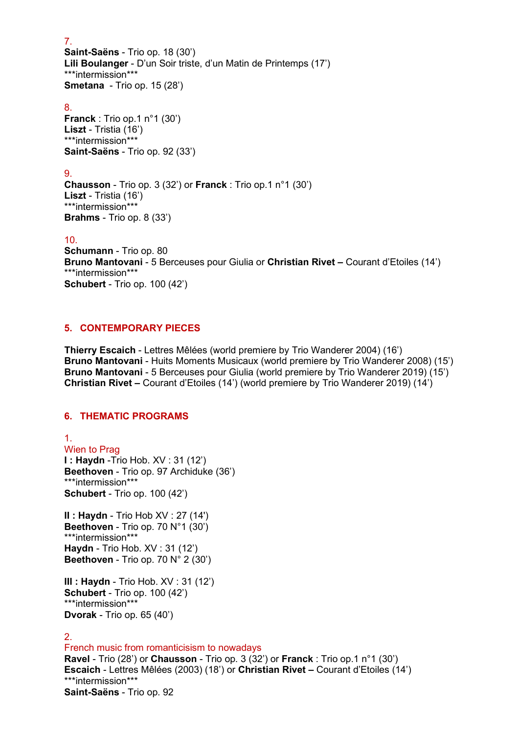7. Saint-Saëns - Trio op. 18 (30') Lili Boulanger - D'un Soir triste, d'un Matin de Printemps (17') \*\*\*intermission\*\*\* Smetana - Trio op. 15 (28')

8.

Franck : Trio op.1 n°1 (30') Liszt - Tristia (16') \*\*\*intermission\*\*\* Saint-Saëns - Trio op. 92 (33')

# 9.

Chausson - Trio op. 3 (32') or Franck : Trio op.1 n°1 (30') Liszt - Tristia (16') \*\*\*intermission\*\*\* Brahms - Trio op. 8 (33')

### 10.

Schumann - Trio op. 80 Bruno Mantovani - 5 Berceuses pour Giulia or Christian Rivet – Courant d'Etoiles (14') \*\*\*intermission\*\*\* Schubert - Trio op. 100 (42')

# 5. CONTEMPORARY PIECES

 Thierry Escaich - Lettres Mêlées (world premiere by Trio Wanderer 2004) (16') Bruno Mantovani - Huits Moments Musicaux (world premiere by Trio Wanderer 2008) (15') Bruno Mantovani - 5 Berceuses pour Giulia (world premiere by Trio Wanderer 2019) (15') Christian Rivet – Courant d'Etoiles (14') (world premiere by Trio Wanderer 2019) (14')

### 6. THEMATIC PROGRAMS

1. Wien to Prag I : Haydn -Trio Hob. XV : 31 (12') Beethoven - Trio op. 97 Archiduke (36') \*\*\*intermission\*\*\* Schubert - Trio op. 100 (42')

II : Haydn - Trio Hob XV : 27 (14') Beethoven - Trio op. 70 N°1 (30') \*\*\*intermission\*\*\* Haydn - Trio Hob. XV : 31 (12') Beethoven - Trio op. 70 N° 2 (30')

III : Haydn - Trio Hob. XV : 31 (12') Schubert - Trio op. 100 (42') \*\*\*intermission\*\*\* Dvorak - Trio op. 65 (40')

### 2.

French music from romanticisism to nowadays Ravel - Trio (28') or Chausson - Trio op. 3 (32') or Franck : Trio op. 1 n°1 (30') Escaich - Lettres Mêlées (2003) (18') or Christian Rivet – Courant d'Etoiles (14') \*\*\*intermission\*\*\* Saint-Saëns - Trio op. 92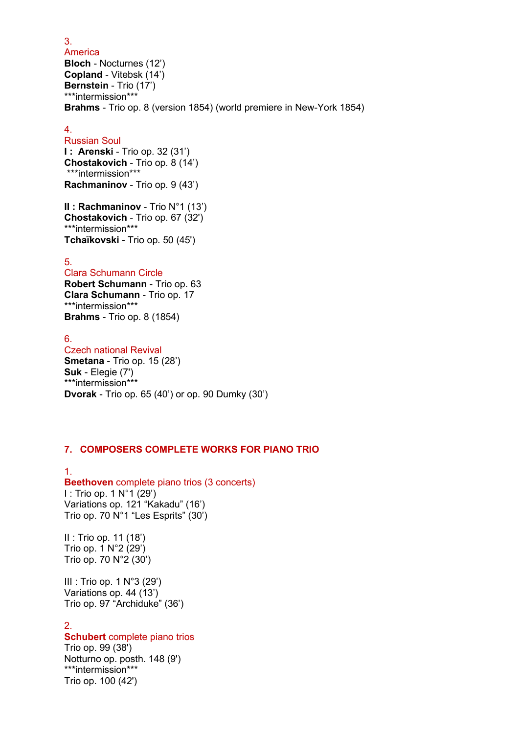America Bloch - Nocturnes (12') Copland - Vitebsk (14') Bernstein - Trio (17') \*\*\*intermission\*\*\* Brahms - Trio op. 8 (version 1854) (world premiere in New-York 1854)

#### 4.

Russian Soul

**I: Arenski** - Trio op. 32 (31') Chostakovich - Trio op. 8 (14') \*\*\*intermission\*\*\* Rachmaninov - Trio op. 9 (43')

II : Rachmaninov - Trio N°1 (13') Chostakovich - Trio op. 67 (32') \*\*\*intermission\*\*\* Tchaïkovski - Trio op. 50 (45')

# 5.

Clara Schumann Circle Robert Schumann - Trio op. 63 Clara Schumann - Trio op. 17 \*\*\*intermission\*\*\* Brahms - Trio op. 8 (1854)

6. Czech national Revival Smetana - Trio op. 15 (28') Suk - Elegie (7') \*\*\*intermission\*\*\* Dvorak - Trio op. 65 (40') or op. 90 Dumky (30')

### 7. COMPOSERS COMPLETE WORKS FOR PIANO TRIO

1. Beethoven complete piano trios (3 concerts) I : Trio op. 1 N°1 (29') Variations op. 121 "Kakadu" (16') Trio op. 70 N°1 "Les Esprits" (30')

II : Trio op. 11 (18') Trio op. 1 N°2 (29') Trio op. 70 N°2 (30')

III : Trio op. 1 N°3 (29') Variations op. 44 (13') Trio op. 97 "Archiduke" (36')

#### 2. Schubert complete piano trios

Trio op. 99 (38') Notturno op. posth. 148 (9') \*\*\*intermission\*\*\* Trio op. 100 (42')

3.